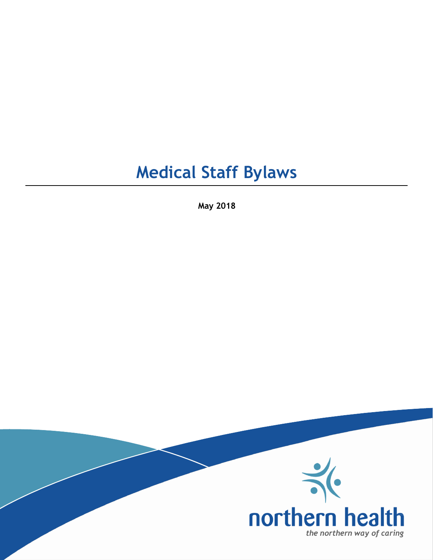# **Medical Staff Bylaws**

**May 2018**

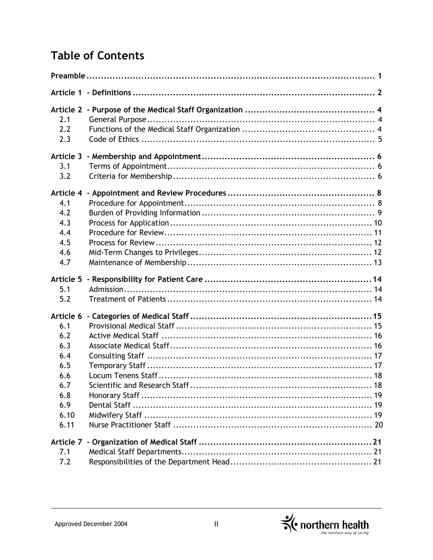# **Table of Contents**

| Article 1                                                                                |  |  |  |
|------------------------------------------------------------------------------------------|--|--|--|
| <b>Article 2</b><br>2.1<br>2.2<br>2.3                                                    |  |  |  |
| Article 3<br>3.1<br>3.2                                                                  |  |  |  |
| Article 4<br>4.1<br>4.2<br>4.3<br>4.4<br>4.5<br>4.6<br>4.7                               |  |  |  |
| Article 5<br>5.1<br>5.2                                                                  |  |  |  |
| Article 6<br>6.1<br>6.2<br>6.3<br>6.4<br>6.5<br>6.6<br>6.7<br>6.8<br>6.9<br>6.10<br>6.11 |  |  |  |
| Article 7<br>7.1<br>7.2                                                                  |  |  |  |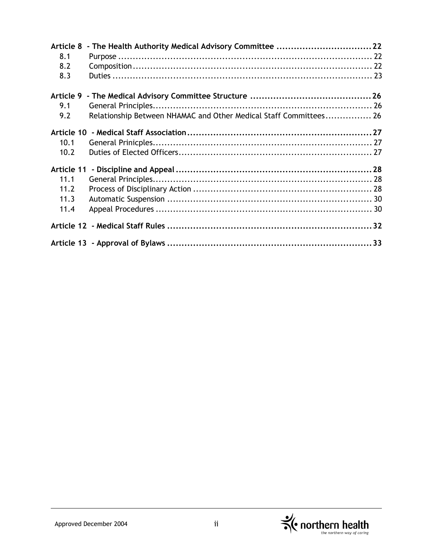| Article 8  |                                                                   |  |
|------------|-------------------------------------------------------------------|--|
| 8.1        |                                                                   |  |
| 8.2        |                                                                   |  |
| 8.3        |                                                                   |  |
|            |                                                                   |  |
| Article 9  |                                                                   |  |
| 9.1        |                                                                   |  |
| 9.2        | Relationship Between NHAMAC and Other Medical Staff Committees 26 |  |
| Article 10 |                                                                   |  |
| 10.1       |                                                                   |  |
| 10.2       |                                                                   |  |
| Article 11 |                                                                   |  |
| 11.1       |                                                                   |  |
| 11.2       |                                                                   |  |
| 11.3       |                                                                   |  |
| 11.4       |                                                                   |  |
|            |                                                                   |  |
|            |                                                                   |  |

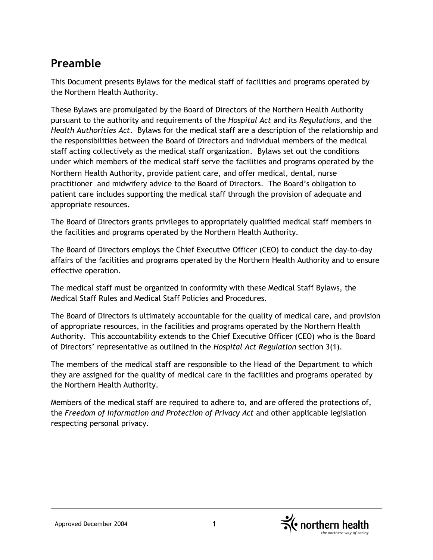# **Preamble**

This Document presents Bylaws for the medical staff of facilities and programs operated by the Northern Health Authority.

These Bylaws are promulgated by the Board of Directors of the Northern Health Authority pursuant to the authority and requirements of the *Hospital Act* and its *Regulations*, and the *Health Authorities Act*. Bylaws for the medical staff are a description of the relationship and the responsibilities between the Board of Directors and individual members of the medical staff acting collectively as the medical staff organization. Bylaws set out the conditions under which members of the medical staff serve the facilities and programs operated by the Northern Health Authority, provide patient care, and offer medical, dental, nurse practitioner and midwifery advice to the Board of Directors. The Board's obligation to patient care includes supporting the medical staff through the provision of adequate and appropriate resources.

The Board of Directors grants privileges to appropriately qualified medical staff members in the facilities and programs operated by the Northern Health Authority.

The Board of Directors employs the Chief Executive Officer (CEO) to conduct the day-to-day affairs of the facilities and programs operated by the Northern Health Authority and to ensure effective operation.

The medical staff must be organized in conformity with these Medical Staff Bylaws, the Medical Staff Rules and Medical Staff Policies and Procedures.

The Board of Directors is ultimately accountable for the quality of medical care, and provision of appropriate resources, in the facilities and programs operated by the Northern Health Authority. This accountability extends to the Chief Executive Officer (CEO) who is the Board of Directors' representative as outlined in the *Hospital Act Regulation* section 3(1).

The members of the medical staff are responsible to the Head of the Department to which they are assigned for the quality of medical care in the facilities and programs operated by the Northern Health Authority.

Members of the medical staff are required to adhere to, and are offered the protections of, the *Freedom of Information and Protection of Privacy Act* and other applicable legislation respecting personal privacy.

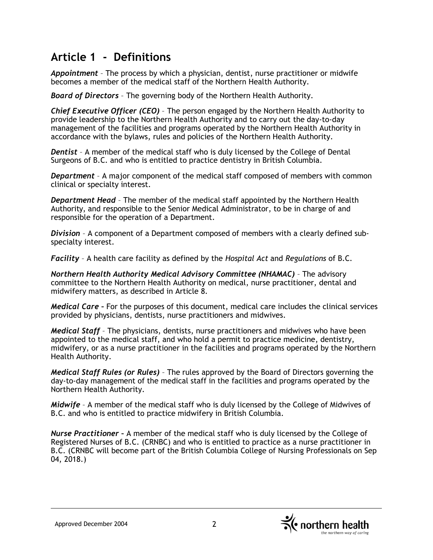# **Article 1 - Definitions**

*Appointment* – The process by which a physician, dentist, nurse practitioner or midwife becomes a member of the medical staff of the Northern Health Authority.

*Board of Directors* – The governing body of the Northern Health Authority.

*Chief Executive Officer (CEO)* – The person engaged by the Northern Health Authority to provide leadership to the Northern Health Authority and to carry out the day-to-day management of the facilities and programs operated by the Northern Health Authority in accordance with the bylaws, rules and policies of the Northern Health Authority.

*Dentist* – A member of the medical staff who is duly licensed by the College of Dental Surgeons of B.C. and who is entitled to practice dentistry in British Columbia.

*Department* – A major component of the medical staff composed of members with common clinical or specialty interest.

*Department Head* – The member of the medical staff appointed by the Northern Health Authority, and responsible to the Senior Medical Administrator, to be in charge of and responsible for the operation of a Department.

*Division* – A component of a Department composed of members with a clearly defined subspecialty interest.

*Facility* – A health care facility as defined by the *Hospital Act* and *Regulations* of B.C.

*Northern Health Authority Medical Advisory Committee (NHAMAC)* – The advisory committee to the Northern Health Authority on medical, nurse practitioner, dental and midwifery matters, as described in Article 8.

*Medical Care –* For the purposes of this document, medical care includes the clinical services provided by physicians, dentists, nurse practitioners and midwives.

*Medical Staff* – The physicians, dentists, nurse practitioners and midwives who have been appointed to the medical staff, and who hold a permit to practice medicine, dentistry, midwifery, or as a nurse practitioner in the facilities and programs operated by the Northern Health Authority.

*Medical Staff Rules (or Rules)* – The rules approved by the Board of Directors governing the day-to-day management of the medical staff in the facilities and programs operated by the Northern Health Authority.

*Midwife* – A member of the medical staff who is duly licensed by the College of Midwives of B.C. and who is entitled to practice midwifery in British Columbia.

*Nurse Practitioner –* A member of the medical staff who is duly licensed by the College of Registered Nurses of B.C. (CRNBC) and who is entitled to practice as a nurse practitioner in B.C. (CRNBC will become part of the British Columbia College of Nursing Professionals on Sep 04, 2018.)

Approved December 2004 2

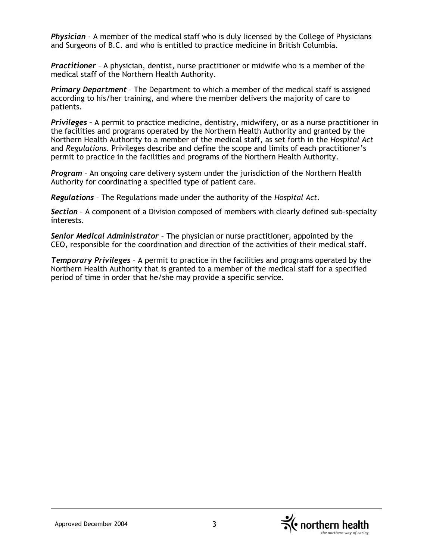*Physician* - A member of the medical staff who is duly licensed by the College of Physicians and Surgeons of B.C. and who is entitled to practice medicine in British Columbia.

*Practitioner* – A physician, dentist, nurse practitioner or midwife who is a member of the medical staff of the Northern Health Authority.

*Primary Department* – The Department to which a member of the medical staff is assigned according to his/her training, and where the member delivers the majority of care to patients.

*Privileges –* A permit to practice medicine, dentistry, midwifery, or as a nurse practitioner in the facilities and programs operated by the Northern Health Authority and granted by the Northern Health Authority to a member of the medical staff, as set forth in the *Hospital Act*  and *Regulations*. Privileges describe and define the scope and limits of each practitioner's permit to practice in the facilities and programs of the Northern Health Authority.

*Program* – An ongoing care delivery system under the jurisdiction of the Northern Health Authority for coordinating a specified type of patient care.

*Regulations* – The Regulations made under the authority of the *Hospital Act.*

*Section* – A component of a Division composed of members with clearly defined sub-specialty interests.

*Senior Medical Administrator* – The physician or nurse practitioner, appointed by the CEO, responsible for the coordination and direction of the activities of their medical staff.

*Temporary Privileges* – A permit to practice in the facilities and programs operated by the Northern Health Authority that is granted to a member of the medical staff for a specified period of time in order that he/she may provide a specific service.

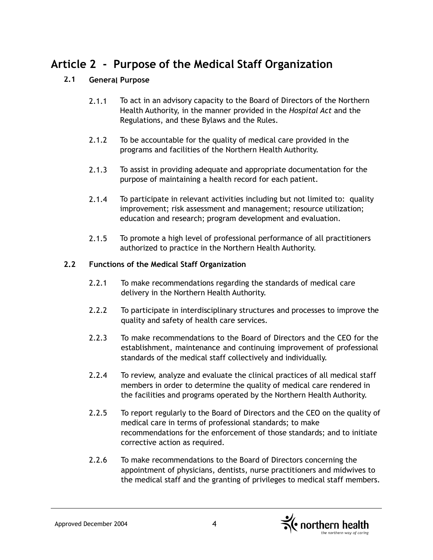# **Article 2 - Purpose of the Medical Staff Organization**

# **2.1 General Purpose**

- 2.1.1 To act in an advisory capacity to the Board of Directors of the Northern Health Authority, in the manner provided in the *Hospital Act* and the Regulations, and these Bylaws and the Rules.
- 2.1.2 To be accountable for the quality of medical care provided in the programs and facilities of the Northern Health Authority.
- 2.1.3 To assist in providing adequate and appropriate documentation for the purpose of maintaining a health record for each patient.
- 2.1.4 To participate in relevant activities including but not limited to: quality improvement; risk assessment and management; resource utilization; education and research; program development and evaluation.
- 2.1.5 To promote a high level of professional performance of all practitioners authorized to practice in the Northern Health Authority.

#### **2.2 Functions of the Medical Staff Organization**

- 2.2.1 To make recommendations regarding the standards of medical care delivery in the Northern Health Authority.
- 2.2.2 To participate in interdisciplinary structures and processes to improve the quality and safety of health care services.
- 2.2.3 To make recommendations to the Board of Directors and the CEO for the establishment, maintenance and continuing improvement of professional standards of the medical staff collectively and individually.
- 2.2.4 To review, analyze and evaluate the clinical practices of all medical staff members in order to determine the quality of medical care rendered in the facilities and programs operated by the Northern Health Authority.
- 2.2.5 To report regularly to the Board of Directors and the CEO on the quality of medical care in terms of professional standards; to make recommendations for the enforcement of those standards; and to initiate corrective action as required.
- 2.2.6 To make recommendations to the Board of Directors concerning the appointment of physicians, dentists, nurse practitioners and midwives to the medical staff and the granting of privileges to medical staff members.

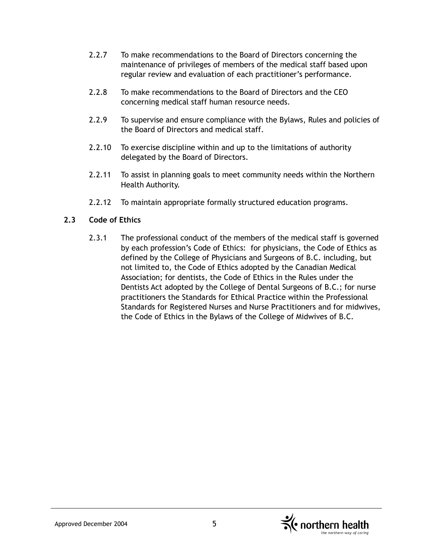- 2.2.7 To make recommendations to the Board of Directors concerning the maintenance of privileges of members of the medical staff based upon regular review and evaluation of each practitioner's performance.
- 2.2.8 To make recommendations to the Board of Directors and the CEO concerning medical staff human resource needs.
- 2.2.9 To supervise and ensure compliance with the Bylaws, Rules and policies of the Board of Directors and medical staff.
- 2.2.10 To exercise discipline within and up to the limitations of authority delegated by the Board of Directors.
- 2.2.11 To assist in planning goals to meet community needs within the Northern Health Authority.
- 2.2.12 To maintain appropriate formally structured education programs.

#### **2.3 Code of Ethics**

2.3.1 The professional conduct of the members of the medical staff is governed by each profession's Code of Ethics: for physicians, the Code of Ethics as defined by the College of Physicians and Surgeons of B.C. including, but not limited to, the Code of Ethics adopted by the Canadian Medical Association; for dentists, the Code of Ethics in the Rules under the Dentists Act adopted by the College of Dental Surgeons of B.C.; for nurse practitioners the Standards for Ethical Practice within the Professional Standards for Registered Nurses and Nurse Practitioners and for midwives, the Code of Ethics in the Bylaws of the College of Midwives of B.C.

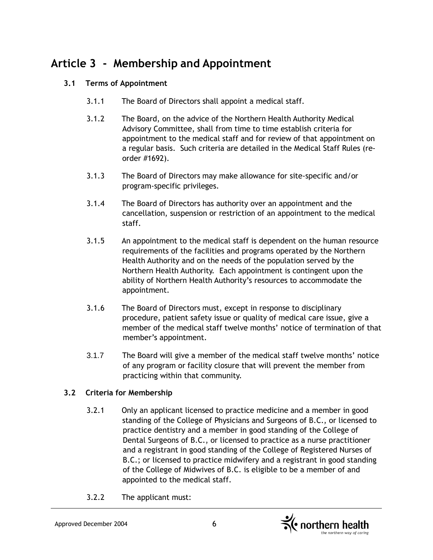# **Article 3 - Membership and Appointment**

# **3.1 Terms of Appointment**

- 3.1.1 The Board of Directors shall appoint a medical staff.
- 3.1.2 The Board, on the advice of the Northern Health Authority Medical Advisory Committee, shall from time to time establish criteria for appointment to the medical staff and for review of that appointment on a regular basis. Such criteria are detailed in the Medical Staff Rules (reorder #1692).
- 3.1.3 The Board of Directors may make allowance for site-specific and/or program-specific privileges.
- 3.1.4 The Board of Directors has authority over an appointment and the cancellation, suspension or restriction of an appointment to the medical staff.
- 3.1.5 An appointment to the medical staff is dependent on the human resource requirements of the facilities and programs operated by the Northern Health Authority and on the needs of the population served by the Northern Health Authority. Each appointment is contingent upon the ability of Northern Health Authority's resources to accommodate the appointment.
- 3.1.6 The Board of Directors must, except in response to disciplinary procedure, patient safety issue or quality of medical care issue, give a member of the medical staff twelve months' notice of termination of that member's appointment.
- 3.1.7 The Board will give a member of the medical staff twelve months' notice of any program or facility closure that will prevent the member from practicing within that community.

# **3.2 Criteria for Membership**

- 3.2.1 Only an applicant licensed to practice medicine and a member in good standing of the College of Physicians and Surgeons of B.C., or licensed to practice dentistry and a member in good standing of the College of Dental Surgeons of B.C., or licensed to practice as a nurse practitioner and a registrant in good standing of the College of Registered Nurses of B.C.; or licensed to practice midwifery and a registrant in good standing of the College of Midwives of B.C. is eligible to be a member of and appointed to the medical staff.
- 3.2.2 The applicant must:

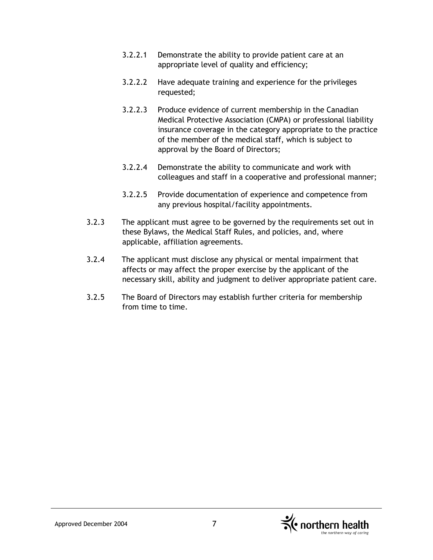- 3.2.2.1 Demonstrate the ability to provide patient care at an appropriate level of quality and efficiency;
- 3.2.2.2 Have adequate training and experience for the privileges requested;
- 3.2.2.3 Produce evidence of current membership in the Canadian Medical Protective Association (CMPA) or professional liability insurance coverage in the category appropriate to the practice of the member of the medical staff, which is subject to approval by the Board of Directors;
- 3.2.2.4 Demonstrate the ability to communicate and work with colleagues and staff in a cooperative and professional manner;
- 3.2.2.5 Provide documentation of experience and competence from any previous hospital/facility appointments.
- 3.2.3 The applicant must agree to be governed by the requirements set out in these Bylaws, the Medical Staff Rules, and policies, and, where applicable, affiliation agreements.
- 3.2.4 The applicant must disclose any physical or mental impairment that affects or may affect the proper exercise by the applicant of the necessary skill, ability and judgment to deliver appropriate patient care.
- 3.2.5 The Board of Directors may establish further criteria for membership from time to time.

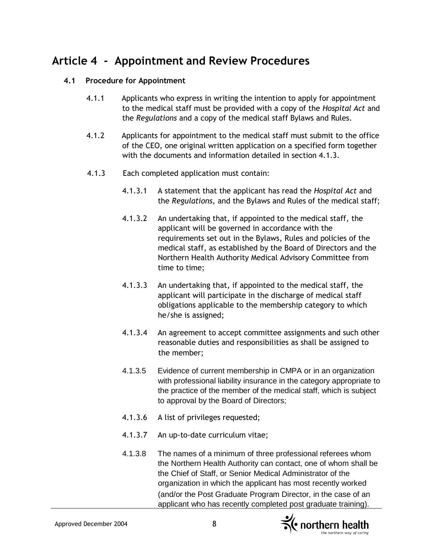# **Article 4 - Appointment and Review Procedures**

#### **4.1 Procedure for Appointment**

- 4.1.1 Applicants who express in writing the intention to apply for appointment to the medical staff must be provided with a copy of the *Hospital Act* and the *Regulations* and a copy of the medical staff Bylaws and Rules.
- 4.1.2 Applicants for appointment to the medical staff must submit to the office of the CEO, one original written application on a specified form together with the documents and information detailed in section 4.1.3.
- 4.1.3 Each completed application must contain:
	- 4.1.3.1 A statement that the applicant has read the *Hospital Act* and the *Regulations*, and the Bylaws and Rules of the medical staff;
	- 4.1.3.2 An undertaking that, if appointed to the medical staff, the applicant will be governed in accordance with the requirements set out in the Bylaws, Rules and policies of the medical staff, as established by the Board of Directors and the Northern Health Authority Medical Advisory Committee from time to time;
	- 4.1.3.3 An undertaking that, if appointed to the medical staff, the applicant will participate in the discharge of medical staff obligations applicable to the membership category to which he/she is assigned;
	- 4.1.3.4 An agreement to accept committee assignments and such other reasonable duties and responsibilities as shall be assigned to the member;
	- 4.1.3.5 Evidence of current membership in CMPA or in an organization with professional liability insurance in the category appropriate to the practice of the member of the medical staff, which is subject to approval by the Board of Directors;
	- 4.1.3.6 A list of privileges requested;
	- 4.1.3.7 An up-to-date curriculum vitae;
	- 4.1.3.8 The names of a minimum of three professional referees whom the Northern Health Authority can contact, one of whom shall be the Chief of Staff, or Senior Medical Administrator of the organization in which the applicant has most recently worked (and/or the Post Graduate Program Director, in the case of an applicant who has recently completed post graduate training).



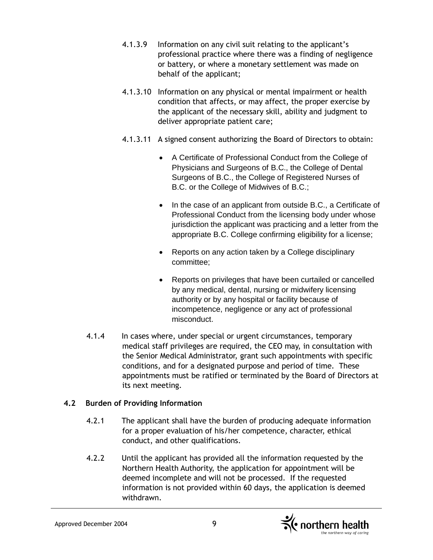- 4.1.3.9 Information on any civil suit relating to the applicant's professional practice where there was a finding of negligence or battery, or where a monetary settlement was made on behalf of the applicant;
- 4.1.3.10 Information on any physical or mental impairment or health condition that affects, or may affect, the proper exercise by the applicant of the necessary skill, ability and judgment to deliver appropriate patient care;
- 4.1.3.11 A signed consent authorizing the Board of Directors to obtain:
	- A Certificate of Professional Conduct from the College of Physicians and Surgeons of B.C., the College of Dental Surgeons of B.C., the College of Registered Nurses of B.C. or the College of Midwives of B.C.;
	- In the case of an applicant from outside B.C., a Certificate of Professional Conduct from the licensing body under whose jurisdiction the applicant was practicing and a letter from the appropriate B.C. College confirming eligibility for a license;
	- Reports on any action taken by a College disciplinary committee;
	- Reports on privileges that have been curtailed or cancelled by any medical, dental, nursing or midwifery licensing authority or by any hospital or facility because of incompetence, negligence or any act of professional misconduct.
- 4.1.4 In cases where, under special or urgent circumstances, temporary medical staff privileges are required, the CEO may, in consultation with the Senior Medical Administrator, grant such appointments with specific conditions, and for a designated purpose and period of time. These appointments must be ratified or terminated by the Board of Directors at its next meeting.

# **4.2 Burden of Providing Information**

- 4.2.1 The applicant shall have the burden of producing adequate information for a proper evaluation of his/her competence, character, ethical conduct, and other qualifications.
- 4.2.2 Until the applicant has provided all the information requested by the Northern Health Authority, the application for appointment will be deemed incomplete and will not be processed. If the requested information is not provided within 60 days, the application is deemed withdrawn.

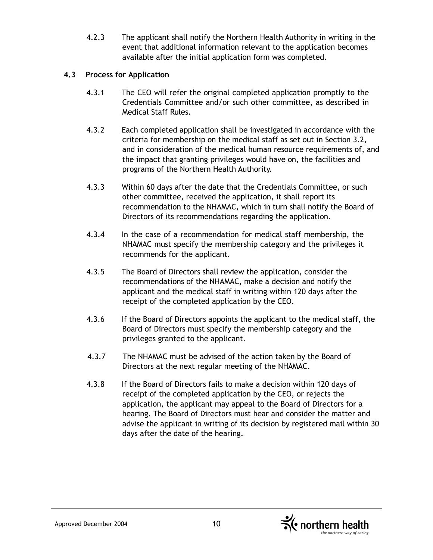4.2.3 The applicant shall notify the Northern Health Authority in writing in the event that additional information relevant to the application becomes available after the initial application form was completed.

### **4.3 Process for Application**

- 4.3.1 The CEO will refer the original completed application promptly to the Credentials Committee and/or such other committee, as described in Medical Staff Rules.
- 4.3.2 Each completed application shall be investigated in accordance with the criteria for membership on the medical staff as set out in Section 3.2, and in consideration of the medical human resource requirements of, and the impact that granting privileges would have on, the facilities and programs of the Northern Health Authority.
- 4.3.3 Within 60 days after the date that the Credentials Committee, or such other committee, received the application, it shall report its recommendation to the NHAMAC, which in turn shall notify the Board of Directors of its recommendations regarding the application.
- 4.3.4 In the case of a recommendation for medical staff membership, the NHAMAC must specify the membership category and the privileges it recommends for the applicant.
- 4.3.5 The Board of Directors shall review the application, consider the recommendations of the NHAMAC, make a decision and notify the applicant and the medical staff in writing within 120 days after the receipt of the completed application by the CEO.
- 4.3.6 If the Board of Directors appoints the applicant to the medical staff, the Board of Directors must specify the membership category and the privileges granted to the applicant.
- 4.3.7 The NHAMAC must be advised of the action taken by the Board of Directors at the next regular meeting of the NHAMAC.
- 4.3.8 If the Board of Directors fails to make a decision within 120 days of receipt of the completed application by the CEO, or rejects the application, the applicant may appeal to the Board of Directors for a hearing. The Board of Directors must hear and consider the matter and advise the applicant in writing of its decision by registered mail within 30 days after the date of the hearing.

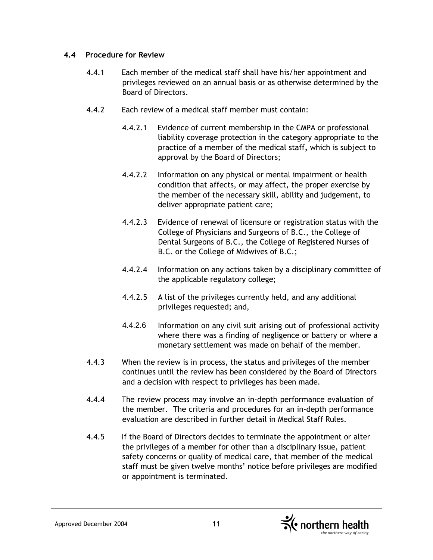#### **4.4 Procedure for Review**

- 4.4.1 Each member of the medical staff shall have his/her appointment and privileges reviewed on an annual basis or as otherwise determined by the Board of Directors.
- 4.4.2 Each review of a medical staff member must contain:
	- 4.4.2.1 Evidence of current membership in the CMPA or professional liability coverage protection in the category appropriate to the practice of a member of the medical staff**,** which is subject to approval by the Board of Directors;
	- 4.4.2.2 Information on any physical or mental impairment or health condition that affects, or may affect, the proper exercise by the member of the necessary skill, ability and judgement, to deliver appropriate patient care;
	- 4.4.2.3 Evidence of renewal of licensure or registration status with the College of Physicians and Surgeons of B.C., the College of Dental Surgeons of B.C., the College of Registered Nurses of B.C. or the College of Midwives of B.C.;
	- 4.4.2.4 Information on any actions taken by a disciplinary committee of the applicable regulatory college;
	- 4.4.2.5 A list of the privileges currently held, and any additional privileges requested; and,
	- 4.4.2.6 Information on any civil suit arising out of professional activity where there was a finding of negligence or battery or where a monetary settlement was made on behalf of the member.
- 4.4.3 When the review is in process, the status and privileges of the member continues until the review has been considered by the Board of Directors and a decision with respect to privileges has been made.
- 4.4.4 The review process may involve an in-depth performance evaluation of the member. The criteria and procedures for an in-depth performance evaluation are described in further detail in Medical Staff Rules.
- 4.4.5 If the Board of Directors decides to terminate the appointment or alter the privileges of a member for other than a disciplinary issue, patient safety concerns or quality of medical care, that member of the medical staff must be given twelve months' notice before privileges are modified or appointment is terminated.

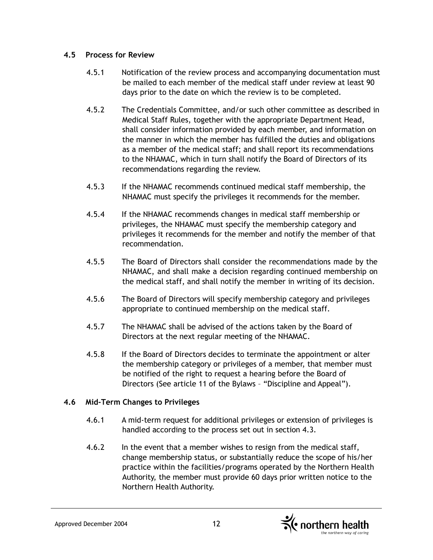#### **4.5 Process for Review**

- 4.5.1 Notification of the review process and accompanying documentation must be mailed to each member of the medical staff under review at least 90 days prior to the date on which the review is to be completed.
- 4.5.2 The Credentials Committee, and/or such other committee as described in Medical Staff Rules, together with the appropriate Department Head, shall consider information provided by each member, and information on the manner in which the member has fulfilled the duties and obligations as a member of the medical staff; and shall report its recommendations to the NHAMAC, which in turn shall notify the Board of Directors of its recommendations regarding the review.
- 4.5.3 If the NHAMAC recommends continued medical staff membership, the NHAMAC must specify the privileges it recommends for the member.
- 4.5.4 If the NHAMAC recommends changes in medical staff membership or privileges, the NHAMAC must specify the membership category and privileges it recommends for the member and notify the member of that recommendation.
- 4.5.5 The Board of Directors shall consider the recommendations made by the NHAMAC, and shall make a decision regarding continued membership on the medical staff, and shall notify the member in writing of its decision.
- 4.5.6 The Board of Directors will specify membership category and privileges appropriate to continued membership on the medical staff.
- 4.5.7 The NHAMAC shall be advised of the actions taken by the Board of Directors at the next regular meeting of the NHAMAC.
- 4.5.8 If the Board of Directors decides to terminate the appointment or alter the membership category or privileges of a member, that member must be notified of the right to request a hearing before the Board of Directors (See article 11 of the Bylaws – "Discipline and Appeal").

#### **4.6 Mid-Term Changes to Privileges**

- 4.6.1 A mid-term request for additional privileges or extension of privileges is handled according to the process set out in section 4.3.
- 4.6.2 In the event that a member wishes to resign from the medical staff, change membership status, or substantially reduce the scope of his/her practice within the facilities/programs operated by the Northern Health Authority, the member must provide 60 days prior written notice to the Northern Health Authority.

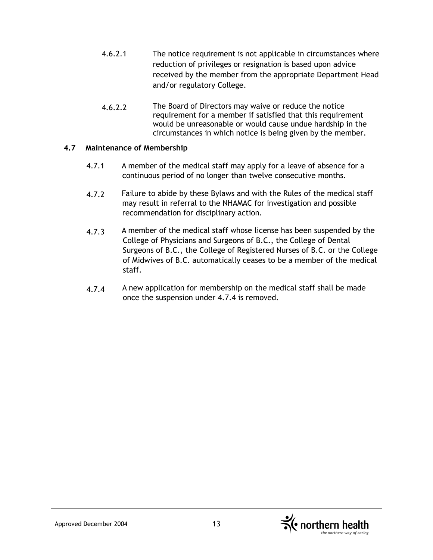- 4.6.2.1 The notice requirement is not applicable in circumstances where reduction of privileges or resignation is based upon advice received by the member from the appropriate Department Head and/or regulatory College.
- 4.6.2.2 The Board of Directors may waive or reduce the notice requirement for a member if satisfied that this requirement would be unreasonable or would cause undue hardship in the circumstances in which notice is being given by the member.

#### **4.7 Maintenance of Membership**

- 4.7.1 A member of the medical staff may apply for a leave of absence for a continuous period of no longer than twelve consecutive months.
- 4.7.2 Failure to abide by these Bylaws and with the Rules of the medical staff may result in referral to the NHAMAC for investigation and possible recommendation for disciplinary action.
- 4.7.3 A member of the medical staff whose license has been suspended by the College of Physicians and Surgeons of B.C., the College of Dental Surgeons of B.C., the College of Registered Nurses of B.C. or the College of Midwives of B.C. automatically ceases to be a member of the medical staff.
- 4.7.4 A new application for membership on the medical staff shall be made once the suspension under 4.7.4 is removed.

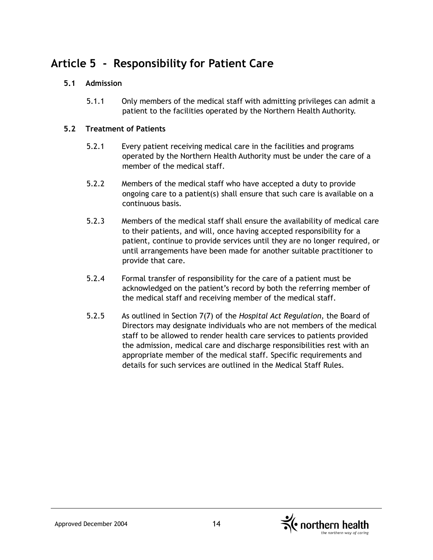# **Article 5 - Responsibility for Patient Care**

# **5.1 Admission**

5.1.1 Only members of the medical staff with admitting privileges can admit a patient to the facilities operated by the Northern Health Authority.

### **5.2 Treatment of Patients**

- 5.2.1 Every patient receiving medical care in the facilities and programs operated by the Northern Health Authority must be under the care of a member of the medical staff.
- 5.2.2 Members of the medical staff who have accepted a duty to provide ongoing care to a patient(s) shall ensure that such care is available on a continuous basis.
- 5.2.3 Members of the medical staff shall ensure the availability of medical care to their patients, and will, once having accepted responsibility for a patient, continue to provide services until they are no longer required, or until arrangements have been made for another suitable practitioner to provide that care.
- 5.2.4 Formal transfer of responsibility for the care of a patient must be acknowledged on the patient's record by both the referring member of the medical staff and receiving member of the medical staff.
- 5.2.5 As outlined in Section 7(7) of the *Hospital Act Regulation*, the Board of Directors may designate individuals who are not members of the medical staff to be allowed to render health care services to patients provided the admission, medical care and discharge responsibilities rest with an appropriate member of the medical staff. Specific requirements and details for such services are outlined in the Medical Staff Rules.

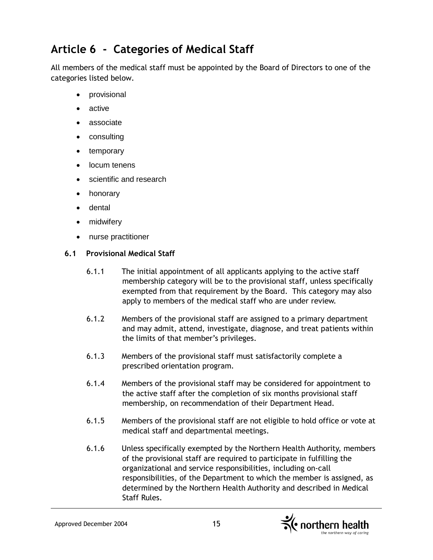# **Article 6 - Categories of Medical Staff**

All members of the medical staff must be appointed by the Board of Directors to one of the categories listed below.

- provisional
- active
- associate
- consulting
- temporary
- locum tenens
- scientific and research
- honorary
- dental
- midwifery
- nurse practitioner

### **6.1 Provisional Medical Staff**

- 6.1.1 The initial appointment of all applicants applying to the active staff membership category will be to the provisional staff, unless specifically exempted from that requirement by the Board. This category may also apply to members of the medical staff who are under review.
- 6.1.2 Members of the provisional staff are assigned to a primary department and may admit, attend, investigate, diagnose, and treat patients within the limits of that member's privileges.
- 6.1.3 Members of the provisional staff must satisfactorily complete a prescribed orientation program.
- 6.1.4 Members of the provisional staff may be considered for appointment to the active staff after the completion of six months provisional staff membership, on recommendation of their Department Head.
- 6.1.5 Members of the provisional staff are not eligible to hold office or vote at medical staff and departmental meetings.
- 6.1.6 Unless specifically exempted by the Northern Health Authority, members of the provisional staff are required to participate in fulfilling the organizational and service responsibilities, including on-call responsibilities, of the Department to which the member is assigned, as determined by the Northern Health Authority and described in Medical Staff Rules.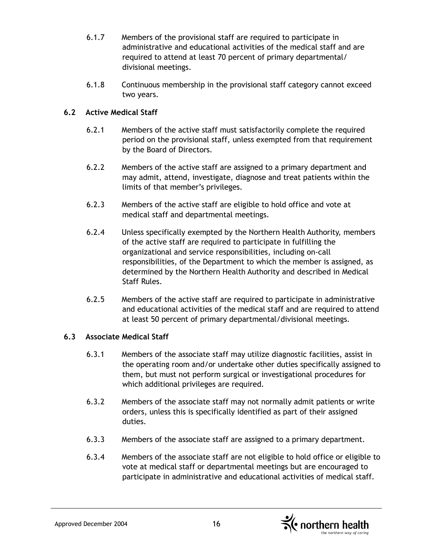- 6.1.7 Members of the provisional staff are required to participate in administrative and educational activities of the medical staff and are required to attend at least 70 percent of primary departmental/ divisional meetings.
- 6.1.8 Continuous membership in the provisional staff category cannot exceed two years.

# **6.2 Active Medical Staff**

- 6.2.1 Members of the active staff must satisfactorily complete the required period on the provisional staff, unless exempted from that requirement by the Board of Directors.
- 6.2.2 Members of the active staff are assigned to a primary department and may admit, attend, investigate, diagnose and treat patients within the limits of that member's privileges.
- 6.2.3 Members of the active staff are eligible to hold office and vote at medical staff and departmental meetings.
- 6.2.4 Unless specifically exempted by the Northern Health Authority, members of the active staff are required to participate in fulfilling the organizational and service responsibilities, including on-call responsibilities, of the Department to which the member is assigned, as determined by the Northern Health Authority and described in Medical Staff Rules.
- 6.2.5 Members of the active staff are required to participate in administrative and educational activities of the medical staff and are required to attend at least 50 percent of primary departmental/divisional meetings.

# **6.3 Associate Medical Staff**

- 6.3.1 Members of the associate staff may utilize diagnostic facilities, assist in the operating room and/or undertake other duties specifically assigned to them, but must not perform surgical or investigational procedures for which additional privileges are required.
- 6.3.2 Members of the associate staff may not normally admit patients or write orders, unless this is specifically identified as part of their assigned duties.
- 6.3.3 Members of the associate staff are assigned to a primary department.
- 6.3.4 Members of the associate staff are not eligible to hold office or eligible to vote at medical staff or departmental meetings but are encouraged to participate in administrative and educational activities of medical staff.

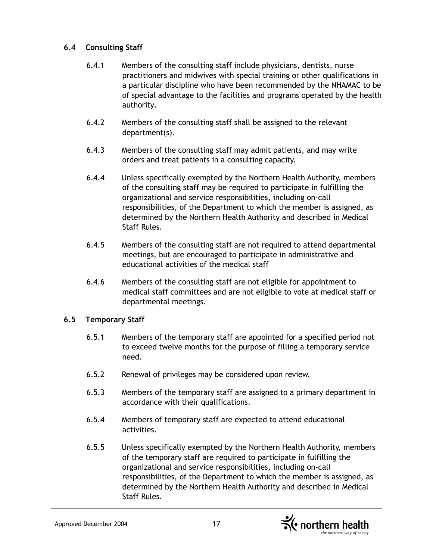#### **6.4 Consulting Staff**

- 6.4.1 Members of the consulting staff include physicians, dentists, nurse practitioners and midwives with special training or other qualifications in a particular discipline who have been recommended by the NHAMAC to be of special advantage to the facilities and programs operated by the health authority.
- 6.4.2 Members of the consulting staff shall be assigned to the relevant department(s).
- 6.4.3 Members of the consulting staff may admit patients, and may write orders and treat patients in a consulting capacity.
- 6.4.4 Unless specifically exempted by the Northern Health Authority, members of the consulting staff may be required to participate in fulfilling the organizational and service responsibilities, including on-call responsibilities, of the Department to which the member is assigned, as determined by the Northern Health Authority and described in Medical Staff Rules.
- 6.4.5 Members of the consulting staff are not required to attend departmental meetings, but are encouraged to participate in administrative and educational activities of the medical staff
- 6.4.6 Members of the consulting staff are not eligible for appointment to medical staff committees and are not eligible to vote at medical staff or departmental meetings.

#### **6.5 Temporary Staff**

- 6.5.1 Members of the temporary staff are appointed for a specified period not to exceed twelve months for the purpose of filling a temporary service need.
- 6.5.2 Renewal of privileges may be considered upon review.
- 6.5.3 Members of the temporary staff are assigned to a primary department in accordance with their qualifications.
- 6.5.4 Members of temporary staff are expected to attend educational activities.
- 6.5.5 Unless specifically exempted by the Northern Health Authority, members of the temporary staff are required to participate in fulfilling the organizational and service responsibilities, including on-call responsibilities, of the Department to which the member is assigned, as determined by the Northern Health Authority and described in Medical Staff Rules.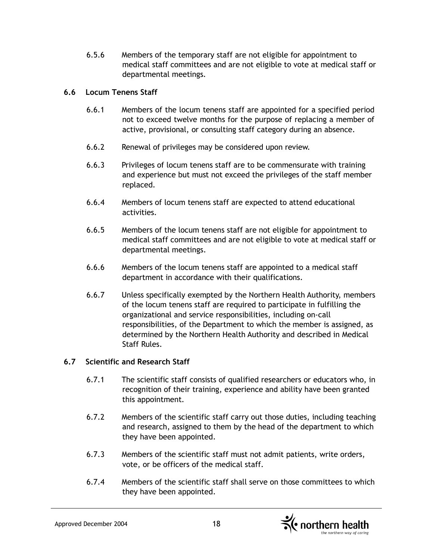6.5.6 Members of the temporary staff are not eligible for appointment to medical staff committees and are not eligible to vote at medical staff or departmental meetings.

### **6.6 Locum Tenens Staff**

- 6.6.1 Members of the locum tenens staff are appointed for a specified period not to exceed twelve months for the purpose of replacing a member of active, provisional, or consulting staff category during an absence.
- 6.6.2 Renewal of privileges may be considered upon review.
- 6.6.3 Privileges of locum tenens staff are to be commensurate with training and experience but must not exceed the privileges of the staff member replaced.
- 6.6.4 Members of locum tenens staff are expected to attend educational activities.
- 6.6.5 Members of the locum tenens staff are not eligible for appointment to medical staff committees and are not eligible to vote at medical staff or departmental meetings.
- 6.6.6 Members of the locum tenens staff are appointed to a medical staff department in accordance with their qualifications.
- 6.6.7 Unless specifically exempted by the Northern Health Authority, members of the locum tenens staff are required to participate in fulfilling the organizational and service responsibilities, including on-call responsibilities, of the Department to which the member is assigned, as determined by the Northern Health Authority and described in Medical Staff Rules.

# **6.7 Scientific and Research Staff**

- 6.7.1 The scientific staff consists of qualified researchers or educators who, in recognition of their training, experience and ability have been granted this appointment.
- 6.7.2 Members of the scientific staff carry out those duties, including teaching and research, assigned to them by the head of the department to which they have been appointed.
- 6.7.3 Members of the scientific staff must not admit patients, write orders, vote, or be officers of the medical staff.
- 6.7.4 Members of the scientific staff shall serve on those committees to which they have been appointed.

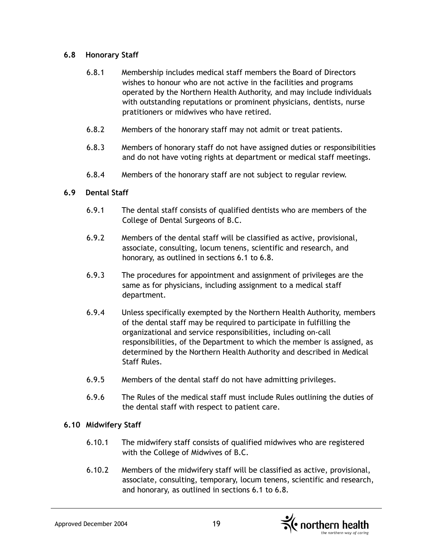#### **6.8 Honorary Staff**

- 6.8.1 Membership includes medical staff members the Board of Directors wishes to honour who are not active in the facilities and programs operated by the Northern Health Authority, and may include individuals with outstanding reputations or prominent physicians, dentists, nurse pratitioners or midwives who have retired.
- 6.8.2 Members of the honorary staff may not admit or treat patients.
- 6.8.3 Members of honorary staff do not have assigned duties or responsibilities and do not have voting rights at department or medical staff meetings.
- 6.8.4 Members of the honorary staff are not subject to regular review.

### **6.9 Dental Staff**

- 6.9.1 The dental staff consists of qualified dentists who are members of the College of Dental Surgeons of B.C.
- 6.9.2 Members of the dental staff will be classified as active, provisional, associate, consulting, locum tenens, scientific and research, and honorary, as outlined in sections 6.1 to 6.8.
- 6.9.3 The procedures for appointment and assignment of privileges are the same as for physicians, including assignment to a medical staff department.
- 6.9.4 Unless specifically exempted by the Northern Health Authority, members of the dental staff may be required to participate in fulfilling the organizational and service responsibilities, including on-call responsibilities, of the Department to which the member is assigned, as determined by the Northern Health Authority and described in Medical Staff Rules.
- 6.9.5 Members of the dental staff do not have admitting privileges.
- 6.9.6 The Rules of the medical staff must include Rules outlining the duties of the dental staff with respect to patient care.

# **6.10 Midwifery Staff**

- 6.10.1 The midwifery staff consists of qualified midwives who are registered with the College of Midwives of B.C.
- 6.10.2 Members of the midwifery staff will be classified as active, provisional, associate, consulting, temporary, locum tenens, scientific and research, and honorary, as outlined in sections 6.1 to 6.8.

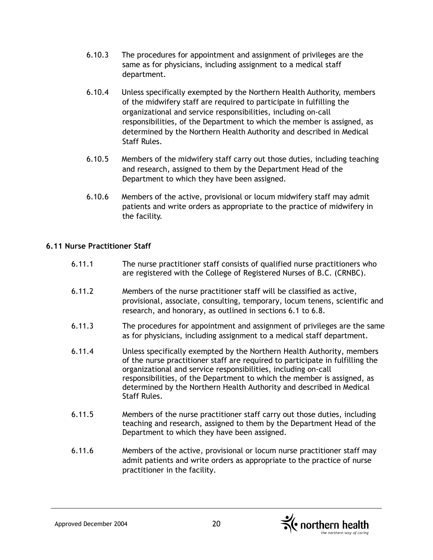- 6.10.3 The procedures for appointment and assignment of privileges are the same as for physicians, including assignment to a medical staff department.
- 6.10.4 Unless specifically exempted by the Northern Health Authority, members of the midwifery staff are required to participate in fulfilling the organizational and service responsibilities, including on-call responsibilities, of the Department to which the member is assigned, as determined by the Northern Health Authority and described in Medical Staff Rules.
- 6.10.5 Members of the midwifery staff carry out those duties, including teaching and research, assigned to them by the Department Head of the Department to which they have been assigned.
- 6.10.6 Members of the active, provisional or locum midwifery staff may admit patients and write orders as appropriate to the practice of midwifery in the facility.

#### **6.11 Nurse Practitioner Staff**

- 6.11.1 The nurse practitioner staff consists of qualified nurse practitioners who are registered with the College of Registered Nurses of B.C. (CRNBC).
- 6.11.2 Members of the nurse practitioner staff will be classified as active, provisional, associate, consulting, temporary, locum tenens, scientific and research, and honorary, as outlined in sections 6.1 to 6.8.
- 6.11.3 The procedures for appointment and assignment of privileges are the same as for physicians, including assignment to a medical staff department.
- 6.11.4 Unless specifically exempted by the Northern Health Authority, members of the nurse practitioner staff are required to participate in fulfilling the organizational and service responsibilities, including on-call responsibilities, of the Department to which the member is assigned, as determined by the Northern Health Authority and described in Medical Staff Rules.
- 6.11.5 Members of the nurse practitioner staff carry out those duties, including teaching and research, assigned to them by the Department Head of the Department to which they have been assigned.
- 6.11.6 Members of the active, provisional or locum nurse practitioner staff may admit patients and write orders as appropriate to the practice of nurse practitioner in the facility.

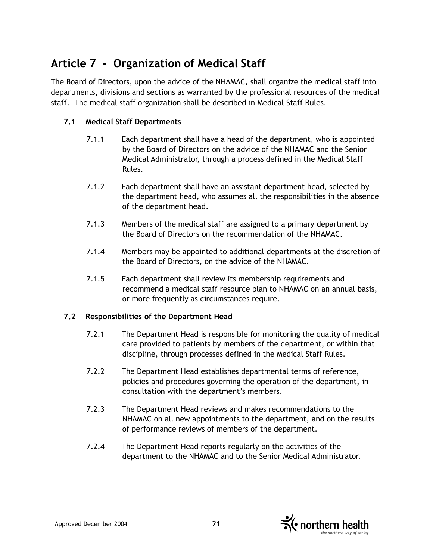# **Article 7 - Organization of Medical Staff**

The Board of Directors, upon the advice of the NHAMAC, shall organize the medical staff into departments, divisions and sections as warranted by the professional resources of the medical staff. The medical staff organization shall be described in Medical Staff Rules.

# **7.1 Medical Staff Departments**

- 7.1.1 Each department shall have a head of the department, who is appointed by the Board of Directors on the advice of the NHAMAC and the Senior Medical Administrator, through a process defined in the Medical Staff Rules.
- 7.1.2 Each department shall have an assistant department head, selected by the department head, who assumes all the responsibilities in the absence of the department head.
- 7.1.3 Members of the medical staff are assigned to a primary department by the Board of Directors on the recommendation of the NHAMAC.
- 7.1.4 Members may be appointed to additional departments at the discretion of the Board of Directors, on the advice of the NHAMAC.
- 7.1.5 Each department shall review its membership requirements and recommend a medical staff resource plan to NHAMAC on an annual basis, or more frequently as circumstances require.

#### **7.2 Responsibilities of the Department Head**

- 7.2.1 The Department Head is responsible for monitoring the quality of medical care provided to patients by members of the department, or within that discipline, through processes defined in the Medical Staff Rules.
- 7.2.2 The Department Head establishes departmental terms of reference, policies and procedures governing the operation of the department, in consultation with the department's members.
- 7.2.3 The Department Head reviews and makes recommendations to the NHAMAC on all new appointments to the department, and on the results of performance reviews of members of the department.
- 7.2.4 The Department Head reports regularly on the activities of the department to the NHAMAC and to the Senior Medical Administrator.

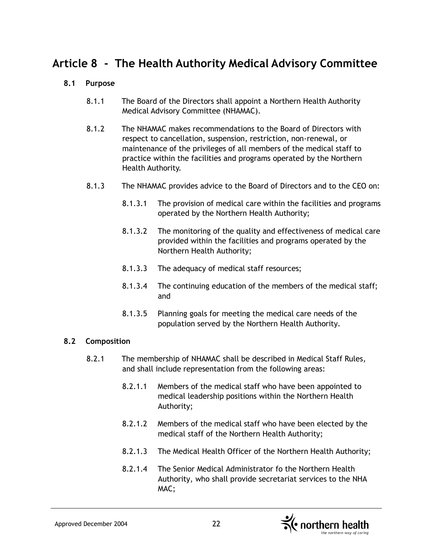# **Article 8 - The Health Authority Medical Advisory Committee**

### **8.1 Purpose**

- 8.1.1 The Board of the Directors shall appoint a Northern Health Authority Medical Advisory Committee (NHAMAC).
- 8.1.2 The NHAMAC makes recommendations to the Board of Directors with respect to cancellation, suspension, restriction, non-renewal, or maintenance of the privileges of all members of the medical staff to practice within the facilities and programs operated by the Northern Health Authority.
- 8.1.3 The NHAMAC provides advice to the Board of Directors and to the CEO on:
	- 8.1.3.1 The provision of medical care within the facilities and programs operated by the Northern Health Authority;
	- 8.1.3.2 The monitoring of the quality and effectiveness of medical care provided within the facilities and programs operated by the Northern Health Authority;
	- 8.1.3.3 The adequacy of medical staff resources;
	- 8.1.3.4 The continuing education of the members of the medical staff; and
	- 8.1.3.5 Planning goals for meeting the medical care needs of the population served by the Northern Health Authority.

#### **8.2 Composition**

- 8.2.1 The membership of NHAMAC shall be described in Medical Staff Rules, and shall include representation from the following areas:
	- 8.2.1.1 Members of the medical staff who have been appointed to medical leadership positions within the Northern Health Authority;
	- 8.2.1.2 Members of the medical staff who have been elected by the medical staff of the Northern Health Authority;
	- 8.2.1.3 The Medical Health Officer of the Northern Health Authority;
	- 8.2.1.4 The Senior Medical Administrator fo the Northern Health Authority, who shall provide secretariat services to the NHA MAC;

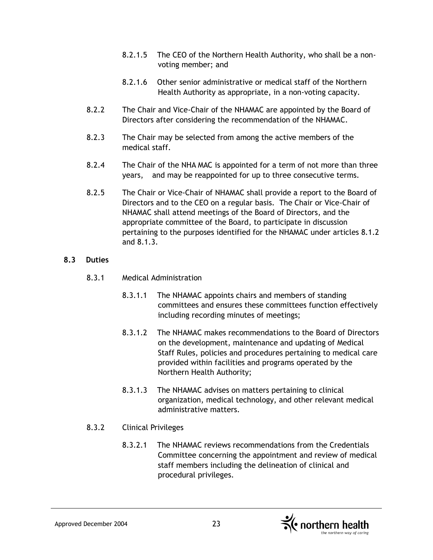- 8.2.1.5 The CEO of the Northern Health Authority, who shall be a nonvoting member; and
- 8.2.1.6 Other senior administrative or medical staff of the Northern Health Authority as appropriate, in a non-voting capacity.
- 8.2.2 The Chair and Vice-Chair of the NHAMAC are appointed by the Board of Directors after considering the recommendation of the NHAMAC.
- 8.2.3 The Chair may be selected from among the active members of the medical staff.
- 8.2.4 The Chair of the NHA MAC is appointed for a term of not more than three years, and may be reappointed for up to three consecutive terms.
- 8.2.5 The Chair or Vice-Chair of NHAMAC shall provide a report to the Board of Directors and to the CEO on a regular basis. The Chair or Vice-Chair of NHAMAC shall attend meetings of the Board of Directors, and the appropriate committee of the Board, to participate in discussion pertaining to the purposes identified for the NHAMAC under articles 8.1.2 and 8.1.3.

#### **8.3 Duties**

- 8.3.1 Medical Administration
	- 8.3.1.1 The NHAMAC appoints chairs and members of standing committees and ensures these committees function effectively including recording minutes of meetings;
	- 8.3.1.2 The NHAMAC makes recommendations to the Board of Directors on the development, maintenance and updating of Medical Staff Rules, policies and procedures pertaining to medical care provided within facilities and programs operated by the Northern Health Authority;
	- 8.3.1.3 The NHAMAC advises on matters pertaining to clinical organization, medical technology, and other relevant medical administrative matters.

# 8.3.2 Clinical Privileges

8.3.2.1 The NHAMAC reviews recommendations from the Credentials Committee concerning the appointment and review of medical staff members including the delineation of clinical and procedural privileges.

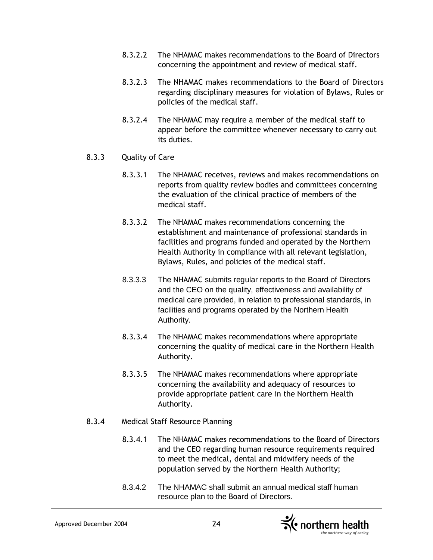- 8.3.2.2 The NHAMAC makes recommendations to the Board of Directors concerning the appointment and review of medical staff.
- 8.3.2.3 The NHAMAC makes recommendations to the Board of Directors regarding disciplinary measures for violation of Bylaws, Rules or policies of the medical staff.
- 8.3.2.4 The NHAMAC may require a member of the medical staff to appear before the committee whenever necessary to carry out its duties.
- 8.3.3 Quality of Care
	- 8.3.3.1 The NHAMAC receives, reviews and makes recommendations on reports from quality review bodies and committees concerning the evaluation of the clinical practice of members of the medical staff.
	- 8.3.3.2 The NHAMAC makes recommendations concerning the establishment and maintenance of professional standards in facilities and programs funded and operated by the Northern Health Authority in compliance with all relevant legislation, Bylaws, Rules, and policies of the medical staff.
	- 8.3.3.3 The NHAMAC submits regular reports to the Board of Directors and the CEO on the quality, effectiveness and availability of medical care provided, in relation to professional standards, in facilities and programs operated by the Northern Health Authority.
	- 8.3.3.4 The NHAMAC makes recommendations where appropriate concerning the quality of medical care in the Northern Health Authority.
	- 8.3.3.5 The NHAMAC makes recommendations where appropriate concerning the availability and adequacy of resources to provide appropriate patient care in the Northern Health Authority.
- 8.3.4 Medical Staff Resource Planning
	- 8.3.4.1 The NHAMAC makes recommendations to the Board of Directors and the CEO regarding human resource requirements required to meet the medical, dental and midwifery needs of the population served by the Northern Health Authority;
	- 8.3.4.2 The NHAMAC shall submit an annual medical staff human resource plan to the Board of Directors.

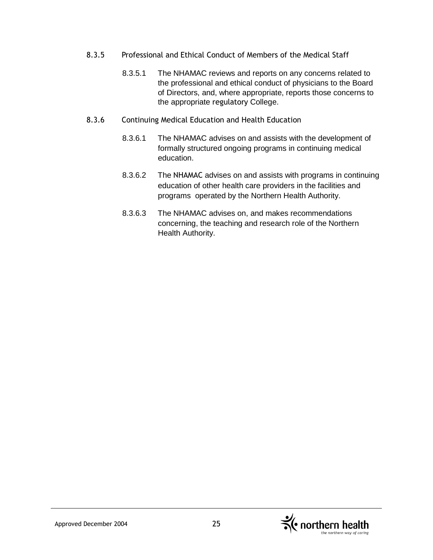- 8.3.5 Professional and Ethical Conduct of Members of the Medical Staff
	- 8.3.5.1 The NHAMAC reviews and reports on any concerns related to the professional and ethical conduct of physicians to the Board of Directors, and, where appropriate, reports those concerns to the appropriate regulatory College.
- 8.3.6 Continuing Medical Education and Health Education
	- 8.3.6.1 The NHAMAC advises on and assists with the development of formally structured ongoing programs in continuing medical education.
	- 8.3.6.2 The NHAMAC advises on and assists with programs in continuing education of other health care providers in the facilities and programs operated by the Northern Health Authority.
	- 8.3.6.3 The NHAMAC advises on, and makes recommendations concerning, the teaching and research role of the Northern Health Authority.

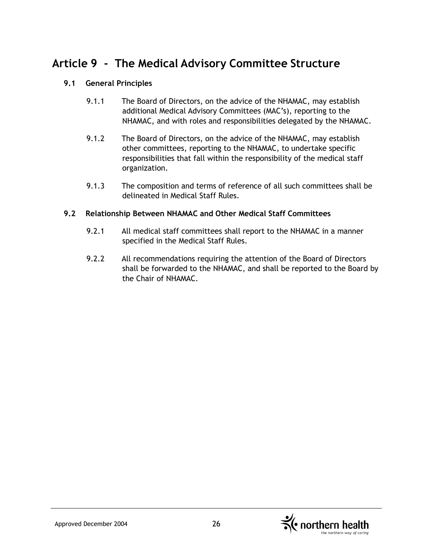# **Article 9 - The Medical Advisory Committee Structure**

### **9.1 General Principles**

- 9.1.1 The Board of Directors, on the advice of the NHAMAC, may establish additional Medical Advisory Committees (MAC's), reporting to the NHAMAC, and with roles and responsibilities delegated by the NHAMAC.
- 9.1.2 The Board of Directors, on the advice of the NHAMAC, may establish other committees, reporting to the NHAMAC, to undertake specific responsibilities that fall within the responsibility of the medical staff organization.
- 9.1.3 The composition and terms of reference of all such committees shall be delineated in Medical Staff Rules.

#### **9.2 Relationship Between NHAMAC and Other Medical Staff Committees**

- 9.2.1 All medical staff committees shall report to the NHAMAC in a manner specified in the Medical Staff Rules.
- 9.2.2 All recommendations requiring the attention of the Board of Directors shall be forwarded to the NHAMAC, and shall be reported to the Board by the Chair of NHAMAC.

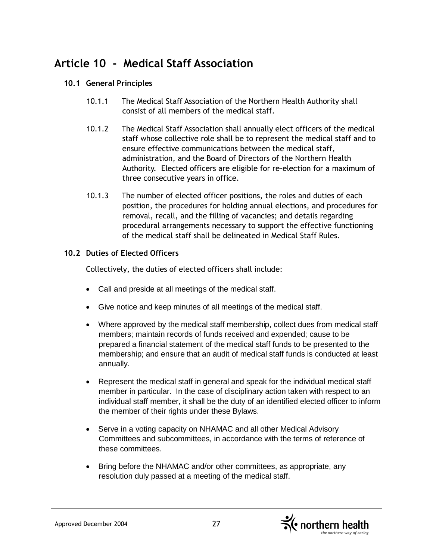# **Article 10 - Medical Staff Association**

# **10.1 General Principles**

- 10.1.1 The Medical Staff Association of the Northern Health Authority shall consist of all members of the medical staff.
- 10.1.2 The Medical Staff Association shall annually elect officers of the medical staff whose collective role shall be to represent the medical staff and to ensure effective communications between the medical staff, administration, and the Board of Directors of the Northern Health Authority. Elected officers are eligible for re-election for a maximum of three consecutive years in office.
- 10.1.3 The number of elected officer positions, the roles and duties of each position, the procedures for holding annual elections, and procedures for removal, recall, and the filling of vacancies; and details regarding procedural arrangements necessary to support the effective functioning of the medical staff shall be delineated in Medical Staff Rules.

# **10.2 Duties of Elected Officers**

Collectively, the duties of elected officers shall include:

- Call and preside at all meetings of the medical staff.
- Give notice and keep minutes of all meetings of the medical staff.
- Where approved by the medical staff membership, collect dues from medical staff members; maintain records of funds received and expended; cause to be prepared a financial statement of the medical staff funds to be presented to the membership; and ensure that an audit of medical staff funds is conducted at least annually.
- Represent the medical staff in general and speak for the individual medical staff member in particular. In the case of disciplinary action taken with respect to an individual staff member, it shall be the duty of an identified elected officer to inform the member of their rights under these Bylaws.
- Serve in a voting capacity on NHAMAC and all other Medical Advisory Committees and subcommittees, in accordance with the terms of reference of these committees.
- Bring before the NHAMAC and/or other committees, as appropriate, any resolution duly passed at a meeting of the medical staff.

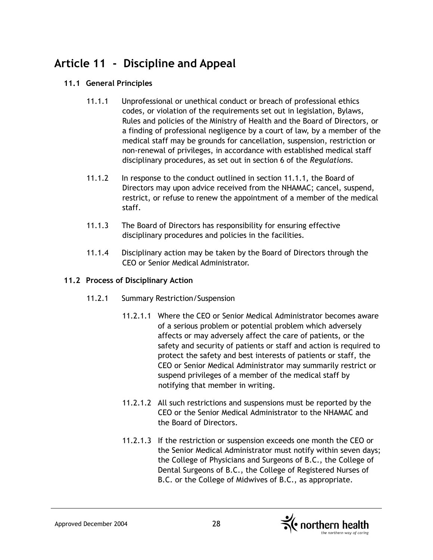# **Article 11 - Discipline and Appeal**

# **11.1 General Principles**

- 11.1.1 Unprofessional or unethical conduct or breach of professional ethics codes, or violation of the requirements set out in legislation, Bylaws, Rules and policies of the Ministry of Health and the Board of Directors, or a finding of professional negligence by a court of law, by a member of the medical staff may be grounds for cancellation, suspension, restriction or non-renewal of privileges, in accordance with established medical staff disciplinary procedures, as set out in section 6 of the *Regulations*.
- 11.1.2 In response to the conduct outlined in section 11.1.1, the Board of Directors may upon advice received from the NHAMAC; cancel, suspend, restrict, or refuse to renew the appointment of a member of the medical staff.
- 11.1.3 The Board of Directors has responsibility for ensuring effective disciplinary procedures and policies in the facilities.
- 11.1.4 Disciplinary action may be taken by the Board of Directors through the CEO or Senior Medical Administrator.

#### **11.2 Process of Disciplinary Action**

- 11.2.1 Summary Restriction/Suspension
	- 11.2.1.1 Where the CEO or Senior Medical Administrator becomes aware of a serious problem or potential problem which adversely affects or may adversely affect the care of patients, or the safety and security of patients or staff and action is required to protect the safety and best interests of patients or staff, the CEO or Senior Medical Administrator may summarily restrict or suspend privileges of a member of the medical staff by notifying that member in writing.
	- 11.2.1.2 All such restrictions and suspensions must be reported by the CEO or the Senior Medical Administrator to the NHAMAC and the Board of Directors.
	- 11.2.1.3 If the restriction or suspension exceeds one month the CEO or the Senior Medical Administrator must notify within seven days; the College of Physicians and Surgeons of B.C., the College of Dental Surgeons of B.C., the College of Registered Nurses of B.C. or the College of Midwives of B.C., as appropriate.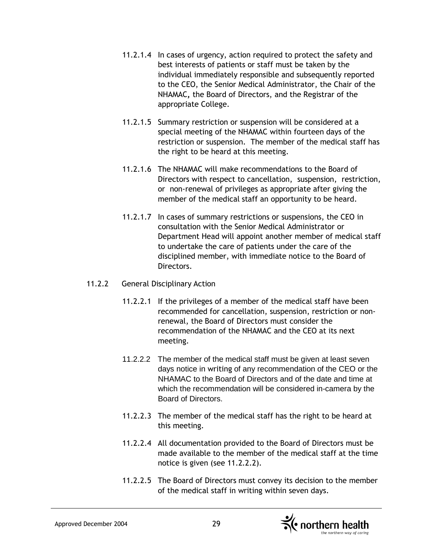- 11.2.1.4 In cases of urgency, action required to protect the safety and best interests of patients or staff must be taken by the individual immediately responsible and subsequently reported to the CEO, the Senior Medical Administrator, the Chair of the NHAMAC**,** the Board of Directors, and the Registrar of the appropriate College.
- 11.2.1.5 Summary restriction or suspension will be considered at a special meeting of the NHAMAC within fourteen days of the restriction or suspension. The member of the medical staff has the right to be heard at this meeting.
- 11.2.1.6 The NHAMAC will make recommendations to the Board of Directors with respect to cancellation, suspension, restriction, or non-renewal of privileges as appropriate after giving the member of the medical staff an opportunity to be heard.
- 11.2.1.7 In cases of summary restrictions or suspensions, the CEO in consultation with the Senior Medical Administrator or Department Head will appoint another member of medical staff to undertake the care of patients under the care of the disciplined member, with immediate notice to the Board of Directors.

#### 11.2.2 General Disciplinary Action

- 11.2.2.1 If the privileges of a member of the medical staff have been recommended for cancellation, suspension, restriction or nonrenewal, the Board of Directors must consider the recommendation of the NHAMAC and the CEO at its next meeting.
- 11.2.2.2 The member of the medical staff must be given at least seven days notice in writing of any recommendation of the CEO or the NHAMAC to the Board of Directors and of the date and time at which the recommendation will be considered in-camera by the Board of Directors.
- 11.2.2.3 The member of the medical staff has the right to be heard at this meeting.
- 11.2.2.4 All documentation provided to the Board of Directors must be made available to the member of the medical staff at the time notice is given (see 11.2.2.2).
- 11.2.2.5 The Board of Directors must convey its decision to the member of the medical staff in writing within seven days.

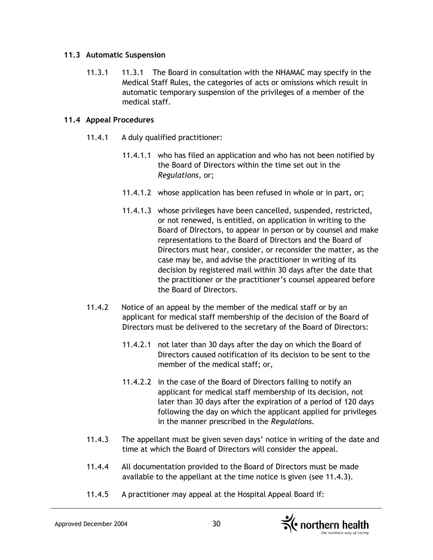#### **11.3 Automatic Suspension**

11.3.1 11.3.1 The Board in consultation with the NHAMAC may specify in the Medical Staff Rules, the categories of acts or omissions which result in automatic temporary suspension of the privileges of a member of the medical staff.

#### **11.4 Appeal Procedures**

- 11.4.1 A duly qualified practitioner:
	- 11.4.1.1 who has filed an application and who has not been notified by the Board of Directors within the time set out in the *Regulations*, or;
	- 11.4.1.2 whose application has been refused in whole or in part, or;
	- 11.4.1.3 whose privileges have been cancelled, suspended, restricted, or not renewed, is entitled, on application in writing to the Board of Directors, to appear in person or by counsel and make representations to the Board of Directors and the Board of Directors must hear, consider, or reconsider the matter, as the case may be, and advise the practitioner in writing of its decision by registered mail within 30 days after the date that the practitioner or the practitioner's counsel appeared before the Board of Directors.
- 11.4.2 Notice of an appeal by the member of the medical staff or by an applicant for medical staff membership of the decision of the Board of Directors must be delivered to the secretary of the Board of Directors:
	- 11.4.2.1 not later than 30 days after the day on which the Board of Directors caused notification of its decision to be sent to the member of the medical staff; or,
	- 11.4.2.2 in the case of the Board of Directors failing to notify an applicant for medical staff membership of its decision, not later than 30 days after the expiration of a period of 120 days following the day on which the applicant applied for privileges in the manner prescribed in the *Regulations*.
- 11.4.3 The appellant must be given seven days' notice in writing of the date and time at which the Board of Directors will consider the appeal.
- 11.4.4 All documentation provided to the Board of Directors must be made available to the appellant at the time notice is given (see 11.4.3).
- 11.4.5 A practitioner may appeal at the Hospital Appeal Board if:

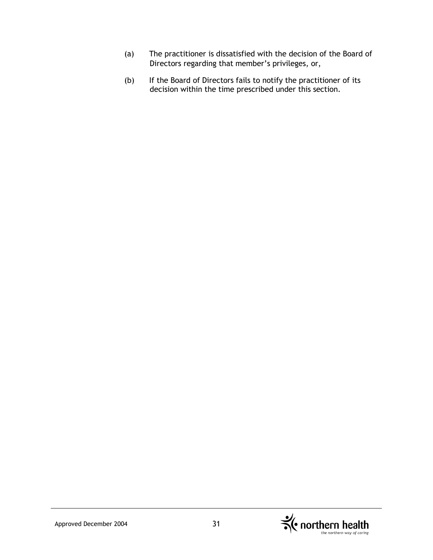- (a) The practitioner is dissatisfied with the decision of the Board of Directors regarding that member's privileges, or,
- (b) If the Board of Directors fails to notify the practitioner of its decision within the time prescribed under this section.

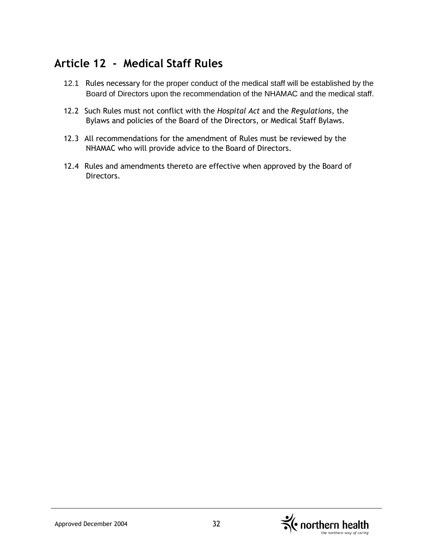# **Article 12 - Medical Staff Rules**

- 12.1 Rules necessary for the proper conduct of the medical staff will be established by the Board of Directors upon the recommendation of the NHAMAC and the medical staff.
- 12.2 Such Rules must not conflict with the *Hospital Act* and the *Regulations*, the Bylaws and policies of the Board of the Directors, or Medical Staff Bylaws.
- 12.3 All recommendations for the amendment of Rules must be reviewed by the NHAMAC who will provide advice to the Board of Directors.
- 12.4 Rules and amendments thereto are effective when approved by the Board of Directors.

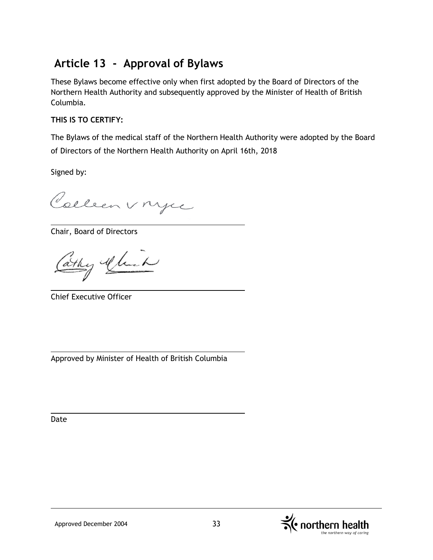# **Article 13 - Approval of Bylaws**

These Bylaws become effective only when first adopted by the Board of Directors of the Northern Health Authority and subsequently approved by the Minister of Health of British Columbia.

# **THIS IS TO CERTIFY:**

The Bylaws of the medical staff of the Northern Health Authority were adopted by the Board of Directors of the Northern Health Authority on April 16th, 2018

Signed by:

Colleen vnyce

Chair, Board of Directors

Cathy Alich

Chief Executive Officer

Approved by Minister of Health of British Columbia

Date